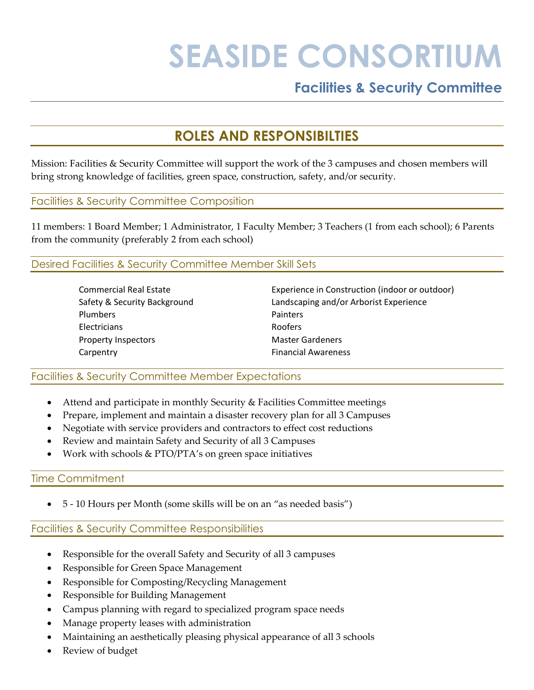# **SEASIDE CONSORTIUM**

## **Facilities & Security Committee**

# **ROLES AND RESPONSIBILTIES**

Mission: Facilities & Security Committee will support the work of the 3 campuses and chosen members will bring strong knowledge of facilities, green space, construction, safety, and/or security.

#### Facilities & Security Committee Composition

11 members: 1 Board Member; 1 Administrator, 1 Faculty Member; 3 Teachers (1 from each school); 6 Parents from the community (preferably 2 from each school)

#### Desired Facilities & Security Committee Member Skill Sets

| <b>Commercial Real Estate</b> | Experience in Construction (indoor or outdoor) |
|-------------------------------|------------------------------------------------|
| Safety & Security Background  | Landscaping and/or Arborist Experience         |
| <b>Plumbers</b>               | <b>Painters</b>                                |
| <b>Electricians</b>           | <b>Roofers</b>                                 |
| <b>Property Inspectors</b>    | <b>Master Gardeners</b>                        |
| Carpentry                     | <b>Financial Awareness</b>                     |
|                               |                                                |

#### Facilities & Security Committee Member Expectations

- Attend and participate in monthly Security & Facilities Committee meetings
- Prepare, implement and maintain a disaster recovery plan for all 3 Campuses
- Negotiate with service providers and contractors to effect cost reductions
- Review and maintain Safety and Security of all 3 Campuses
- Work with schools & PTO/PTA's on green space initiatives

#### Time Commitment

• 5 - 10 Hours per Month (some skills will be on an "as needed basis")

#### Facilities & Security Committee Responsibilities

- Responsible for the overall Safety and Security of all 3 campuses
- Responsible for Green Space Management
- Responsible for Composting/Recycling Management
- Responsible for Building Management
- Campus planning with regard to specialized program space needs
- Manage property leases with administration
- Maintaining an aesthetically pleasing physical appearance of all 3 schools
- Review of budget